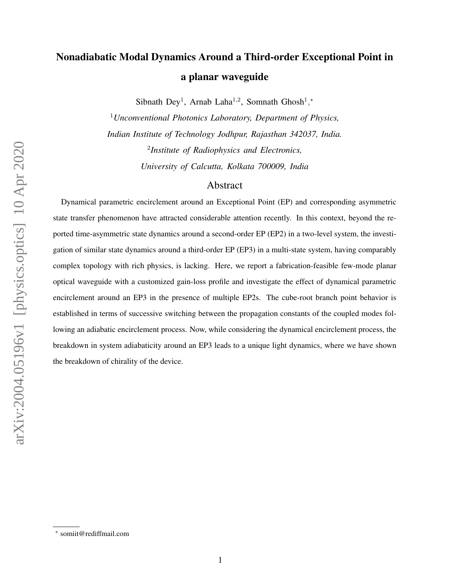## Nonadiabatic Modal Dynamics Around a Third-order Exceptional Point in a planar waveguide

Sibnath Dey<sup>1</sup>, Arnab Laha<sup>1,2</sup>, Somnath Ghosh<sup>1</sup>,\*

<sup>1</sup>*Unconventional Photonics Laboratory, Department of Physics, Indian Institute of Technology Jodhpur, Rajasthan 342037, India.* 2 *Institute of Radiophysics and Electronics, University of Calcutta, Kolkata 700009, India*

## Abstract

Dynamical parametric encirclement around an Exceptional Point (EP) and corresponding asymmetric state transfer phenomenon have attracted considerable attention recently. In this context, beyond the reported time-asymmetric state dynamics around a second-order EP (EP2) in a two-level system, the investigation of similar state dynamics around a third-order EP (EP3) in a multi-state system, having comparably complex topology with rich physics, is lacking. Here, we report a fabrication-feasible few-mode planar optical waveguide with a customized gain-loss profile and investigate the effect of dynamical parametric encirclement around an EP3 in the presence of multiple EP2s. The cube-root branch point behavior is established in terms of successive switching between the propagation constants of the coupled modes following an adiabatic encirclement process. Now, while considering the dynamical encirclement process, the breakdown in system adiabaticity around an EP3 leads to a unique light dynamics, where we have shown the breakdown of chirality of the device.

<sup>∗</sup> somiit@rediffmail.com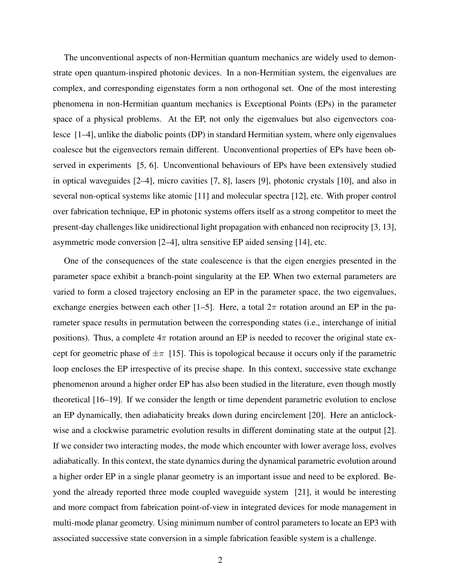The unconventional aspects of non-Hermitian quantum mechanics are widely used to demonstrate open quantum-inspired photonic devices. In a non-Hermitian system, the eigenvalues are complex, and corresponding eigenstates form a non orthogonal set. One of the most interesting phenomena in non-Hermitian quantum mechanics is Exceptional Points (EPs) in the parameter space of a physical problems. At the EP, not only the eigenvalues but also eigenvectors coalesce [1–4], unlike the diabolic points (DP) in standard Hermitian system, where only eigenvalues coalesce but the eigenvectors remain different. Unconventional properties of EPs have been observed in experiments [5, 6]. Unconventional behaviours of EPs have been extensively studied in optical waveguides [2–4], micro cavities [7, 8], lasers [9], photonic crystals [10], and also in several non-optical systems like atomic [11] and molecular spectra [12], etc. With proper control over fabrication technique, EP in photonic systems offers itself as a strong competitor to meet the present-day challenges like unidirectional light propagation with enhanced non reciprocity [3, 13], asymmetric mode conversion [2–4], ultra sensitive EP aided sensing [14], etc.

One of the consequences of the state coalescence is that the eigen energies presented in the parameter space exhibit a branch-point singularity at the EP. When two external parameters are varied to form a closed trajectory enclosing an EP in the parameter space, the two eigenvalues, exchange energies between each other [1–5]. Here, a total  $2\pi$  rotation around an EP in the parameter space results in permutation between the corresponding states (i.e., interchange of initial positions). Thus, a complete  $4\pi$  rotation around an EP is needed to recover the original state except for geometric phase of  $\pm \pi$  [15]. This is topological because it occurs only if the parametric loop encloses the EP irrespective of its precise shape. In this context, successive state exchange phenomenon around a higher order EP has also been studied in the literature, even though mostly theoretical [16–19]. If we consider the length or time dependent parametric evolution to enclose an EP dynamically, then adiabaticity breaks down during encirclement [20]. Here an anticlockwise and a clockwise parametric evolution results in different dominating state at the output [2]. If we consider two interacting modes, the mode which encounter with lower average loss, evolves adiabatically. In this context, the state dynamics during the dynamical parametric evolution around a higher order EP in a single planar geometry is an important issue and need to be explored. Beyond the already reported three mode coupled waveguide system [21], it would be interesting and more compact from fabrication point-of-view in integrated devices for mode management in multi-mode planar geometry. Using minimum number of control parameters to locate an EP3 with associated successive state conversion in a simple fabrication feasible system is a challenge.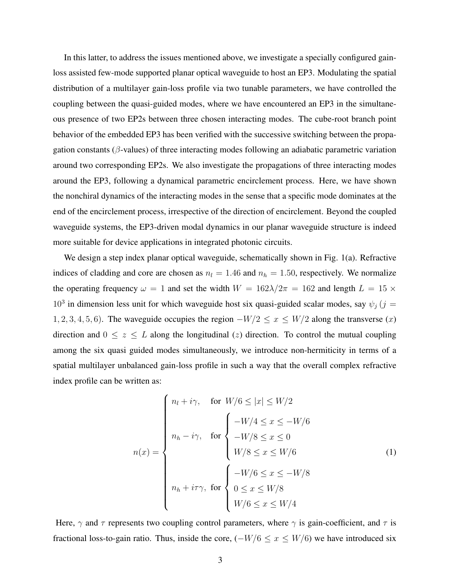In this latter, to address the issues mentioned above, we investigate a specially configured gainloss assisted few-mode supported planar optical waveguide to host an EP3. Modulating the spatial distribution of a multilayer gain-loss profile via two tunable parameters, we have controlled the coupling between the quasi-guided modes, where we have encountered an EP3 in the simultaneous presence of two EP2s between three chosen interacting modes. The cube-root branch point behavior of the embedded EP3 has been verified with the successive switching between the propagation constants ( $\beta$ -values) of three interacting modes following an adiabatic parametric variation around two corresponding EP2s. We also investigate the propagations of three interacting modes around the EP3, following a dynamical parametric encirclement process. Here, we have shown the nonchiral dynamics of the interacting modes in the sense that a specific mode dominates at the end of the encirclement process, irrespective of the direction of encirclement. Beyond the coupled waveguide systems, the EP3-driven modal dynamics in our planar waveguide structure is indeed more suitable for device applications in integrated photonic circuits.

We design a step index planar optical waveguide, schematically shown in Fig. 1(a). Refractive indices of cladding and core are chosen as  $n_l = 1.46$  and  $n_h = 1.50$ , respectively. We normalize the operating frequency  $\omega = 1$  and set the width  $W = 162\lambda/2\pi = 162$  and length  $L = 15 \times$ 10<sup>3</sup> in dimension less unit for which waveguide host six quasi-guided scalar modes, say  $\psi_j$  (j = 1, 2, 3, 4, 5, 6). The waveguide occupies the region  $-W/2 \le x \le W/2$  along the transverse  $(x)$ direction and  $0 \le z \le L$  along the longitudinal (z) direction. To control the mutual coupling among the six quasi guided modes simultaneously, we introduce non-hermiticity in terms of a spatial multilayer unbalanced gain-loss profile in such a way that the overall complex refractive index profile can be written as:

$$
n(x) = \begin{cases} n_l + i\gamma, & \text{for } W/6 \le |x| \le W/2 \\ & \\ n_h - i\gamma, & \text{for } \begin{cases} -W/4 \le x \le -W/6 \\ -W/8 \le x \le 0 \end{cases} \\ W/8 \le x \le W/6 \end{cases} \end{cases} \tag{1}
$$

$$
n_h + i\tau\gamma, \text{ for } \begin{cases} -W/6 \le x \le -W/8 \\ 0 \le x \le W/8 \\ W/6 \le x \le W/4 \end{cases}
$$

Here,  $\gamma$  and  $\tau$  represents two coupling control parameters, where  $\gamma$  is gain-coefficient, and  $\tau$  is fractional loss-to-gain ratio. Thus, inside the core,  $(-W/6 \le x \le W/6)$  we have introduced six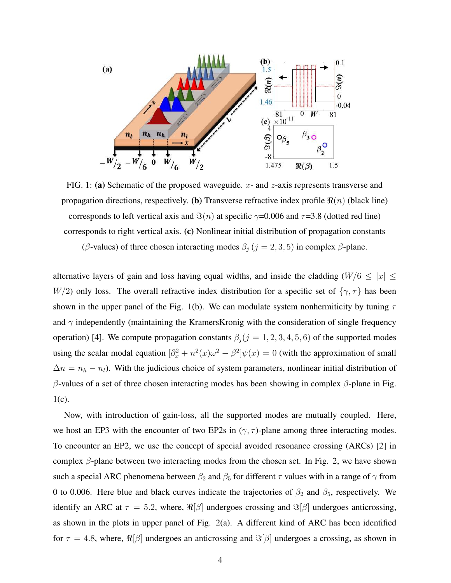

FIG. 1: (a) Schematic of the proposed waveguide.  $x$ - and  $z$ -axis represents transverse and propagation directions, respectively. (b) Transverse refractive index profile  $\Re(n)$  (black line) corresponds to left vertical axis and  $\Im(n)$  at specific  $\gamma$ =0.006 and  $\tau$ =3.8 (dotted red line) corresponds to right vertical axis. (c) Nonlinear initial distribution of propagation constants

(β-values) of three chosen interacting modes  $\beta_j$  ( $j = 2, 3, 5$ ) in complex  $\beta$ -plane.

alternative layers of gain and loss having equal widths, and inside the cladding ( $W/6 \leq |x| \leq$ W/2) only loss. The overall refractive index distribution for a specific set of  $\{\gamma, \tau\}$  has been shown in the upper panel of the Fig. 1(b). We can modulate system nonhermiticity by tuning  $\tau$ and  $\gamma$  independently (maintaining the KramersKronig with the consideration of single frequency operation) [4]. We compute propagation constants  $\beta_j (j = 1, 2, 3, 4, 5, 6)$  of the supported modes using the scalar modal equation  $\left[\partial_x^2 + n^2(x)\omega^2 - \beta^2\right]\psi(x) = 0$  (with the approximation of small  $\Delta n = n_h - n_l$ ). With the judicious choice of system parameters, nonlinear initial distribution of β-values of a set of three chosen interacting modes has been showing in complex β-plane in Fig. 1(c).

Now, with introduction of gain-loss, all the supported modes are mutually coupled. Here, we host an EP3 with the encounter of two EP2s in  $(\gamma, \tau)$ -plane among three interacting modes. To encounter an EP2, we use the concept of special avoided resonance crossing (ARCs) [2] in complex  $\beta$ -plane between two interacting modes from the chosen set. In Fig. 2, we have shown such a special ARC phenomena between  $\beta_2$  and  $\beta_5$  for different  $\tau$  values with in a range of  $\gamma$  from 0 to 0.006. Here blue and black curves indicate the trajectories of  $\beta_2$  and  $\beta_5$ , respectively. We identify an ARC at  $\tau = 5.2$ , where,  $\Re[\beta]$  undergoes crossing and  $\Im[\beta]$  undergoes anticrossing, as shown in the plots in upper panel of Fig. 2(a). A different kind of ARC has been identified for  $\tau = 4.8$ , where,  $\Re[\beta]$  undergoes an anticrossing and  $\Im[\beta]$  undergoes a crossing, as shown in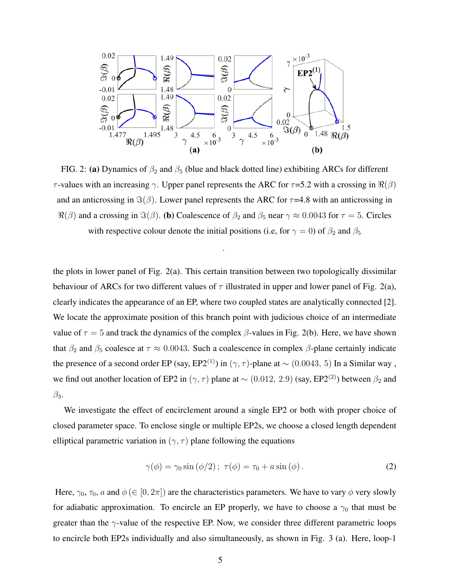

FIG. 2: (a) Dynamics of  $\beta_2$  and  $\beta_5$  (blue and black dotted line) exhibiting ARCs for different τ-values with an increasing γ. Upper panel represents the ARC for  $\tau$ =5.2 with a crossing in  $\Re(\beta)$ and an anticrossing in  $\Im(\beta)$ . Lower panel represents the ARC for  $\tau$ =4.8 with an anticrossing in  $\Re(\beta)$  and a crossing in  $\Im(\beta)$ . (b) Coalescence of  $\beta_2$  and  $\beta_5$  near  $\gamma \approx 0.0043$  for  $\tau = 5$ . Circles with respective colour denote the initial positions (i.e, for  $\gamma = 0$ ) of  $\beta_2$  and  $\beta_5$ 

.

the plots in lower panel of Fig. 2(a). This certain transition between two topologically dissimilar behaviour of ARCs for two different values of  $\tau$  illustrated in upper and lower panel of Fig. 2(a), clearly indicates the appearance of an EP, where two coupled states are analytically connected [2]. We locate the approximate position of this branch point with judicious choice of an intermediate value of  $\tau = 5$  and track the dynamics of the complex  $\beta$ -values in Fig. 2(b). Here, we have shown that  $\beta_2$  and  $\beta_5$  coalesce at  $\tau \approx 0.0043$ . Such a coalescence in complex  $\beta$ -plane certainly indicate the presence of a second order EP (say, EP2<sup>(1)</sup>) in ( $\gamma$ ,  $\tau$ )-plane at ~ (0.0043, 5) In a Similar way, we find out another location of EP2 in ( $\gamma$ ,  $\tau$ ) plane at ~ (0.012, 2.9) (say, EP2<sup>(2)</sup>) between  $\beta_2$  and  $\beta_3$ .

We investigate the effect of encirclement around a single EP2 or both with proper choice of closed parameter space. To enclose single or multiple EP2s, we choose a closed length dependent elliptical parametric variation in ( $\gamma$ ,  $\tau$ ) plane following the equations

$$
\gamma(\phi) = \gamma_0 \sin(\phi/2); \ \tau(\phi) = \tau_0 + a \sin(\phi). \tag{2}
$$

Here,  $\gamma_0$ ,  $\tau_0$ , a and  $\phi$  ( $\in$  [0,  $2\pi$ ]) are the characteristics parameters. We have to vary  $\phi$  very slowly for adiabatic approximation. To encircle an EP properly, we have to choose a  $\gamma_0$  that must be greater than the  $\gamma$ -value of the respective EP. Now, we consider three different parametric loops to encircle both EP2s individually and also simultaneously, as shown in Fig. 3 (a). Here, loop-1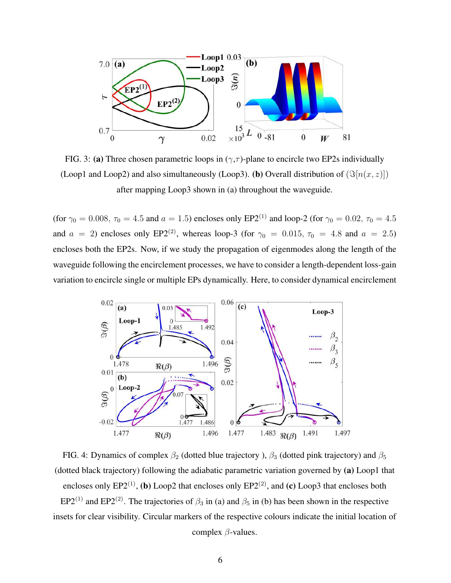

FIG. 3: (a) Three chosen parametric loops in  $(\gamma, \tau)$ -plane to encircle two EP2s individually (Loop1 and Loop2) and also simultaneously (Loop3). (b) Overall distribution of  $(\Im[n(x, z)])$ after mapping Loop3 shown in (a) throughout the waveguide.

(for  $\gamma_0 = 0.008$ ,  $\tau_0 = 4.5$  and  $a = 1.5$ ) encloses only EP2<sup>(1)</sup> and loop-2 (for  $\gamma_0 = 0.02$ ,  $\tau_0 = 4.5$ and  $a = 2$ ) encloses only EP2<sup>(2)</sup>, whereas loop-3 (for  $\gamma_0 = 0.015$ ,  $\tau_0 = 4.8$  and  $a = 2.5$ ) encloses both the EP2s. Now, if we study the propagation of eigenmodes along the length of the waveguide following the encirclement processes, we have to consider a length-dependent loss-gain variation to encircle single or multiple EPs dynamically. Here, to consider dynamical encirclement



FIG. 4: Dynamics of complex  $\beta_2$  (dotted blue trajectory ),  $\beta_3$  (dotted pink trajectory) and  $\beta_5$ (dotted black trajectory) following the adiabatic parametric variation governed by (a) Loop1 that encloses only EP2 $^{(1)}$ , (b) Loop2 that encloses only EP2 $^{(2)}$ , and (c) Loop3 that encloses both EP2<sup>(1)</sup> and EP2<sup>(2)</sup>. The trajectories of  $\beta_3$  in (a) and  $\beta_5$  in (b) has been shown in the respective insets for clear visibility. Circular markers of the respective colours indicate the initial location of complex  $\beta$ -values.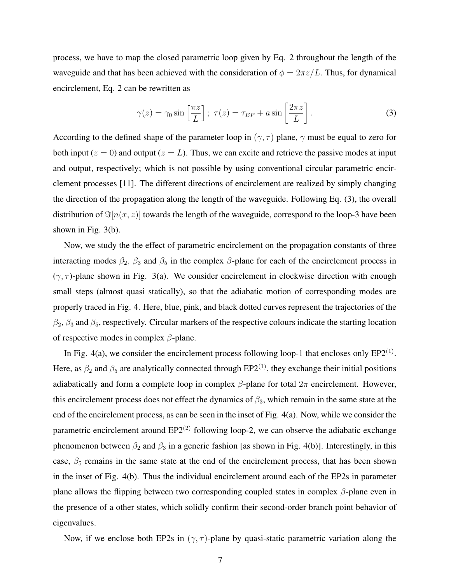process, we have to map the closed parametric loop given by Eq. 2 throughout the length of the waveguide and that has been achieved with the consideration of  $\phi = 2\pi z/L$ . Thus, for dynamical encirclement, Eq. 2 can be rewritten as

$$
\gamma(z) = \gamma_0 \sin\left[\frac{\pi z}{L}\right]; \ \tau(z) = \tau_{EP} + a \sin\left[\frac{2\pi z}{L}\right].\tag{3}
$$

According to the defined shape of the parameter loop in  $(\gamma, \tau)$  plane,  $\gamma$  must be equal to zero for both input ( $z = 0$ ) and output ( $z = L$ ). Thus, we can excite and retrieve the passive modes at input and output, respectively; which is not possible by using conventional circular parametric encirclement processes [11]. The different directions of encirclement are realized by simply changing the direction of the propagation along the length of the waveguide. Following Eq. (3), the overall distribution of  $\Im[n(x, z)]$  towards the length of the waveguide, correspond to the loop-3 have been shown in Fig. 3(b).

Now, we study the the effect of parametric encirclement on the propagation constants of three interacting modes  $\beta_2$ ,  $\beta_3$  and  $\beta_5$  in the complex  $\beta$ -plane for each of the encirclement process in  $(\gamma, \tau)$ -plane shown in Fig. 3(a). We consider encirclement in clockwise direction with enough small steps (almost quasi statically), so that the adiabatic motion of corresponding modes are properly traced in Fig. 4. Here, blue, pink, and black dotted curves represent the trajectories of the  $\beta_2$ ,  $\beta_3$  and  $\beta_5$ , respectively. Circular markers of the respective colours indicate the starting location of respective modes in complex  $\beta$ -plane.

In Fig. 4(a), we consider the encirclement process following loop-1 that encloses only  $EP2^{(1)}$ . Here, as  $\beta_2$  and  $\beta_5$  are analytically connected through EP2<sup>(1)</sup>, they exchange their initial positions adiabatically and form a complete loop in complex  $\beta$ -plane for total  $2\pi$  encirclement. However, this encirclement process does not effect the dynamics of  $\beta_3$ , which remain in the same state at the end of the encirclement process, as can be seen in the inset of Fig. 4(a). Now, while we consider the parametric encirclement around  $EP2^{(2)}$  following loop-2, we can observe the adiabatic exchange phenomenon between  $\beta_2$  and  $\beta_3$  in a generic fashion [as shown in Fig. 4(b)]. Interestingly, in this case,  $\beta_5$  remains in the same state at the end of the encirclement process, that has been shown in the inset of Fig. 4(b). Thus the individual encirclement around each of the EP2s in parameter plane allows the flipping between two corresponding coupled states in complex  $\beta$ -plane even in the presence of a other states, which solidly confirm their second-order branch point behavior of eigenvalues.

Now, if we enclose both EP2s in  $(\gamma, \tau)$ -plane by quasi-static parametric variation along the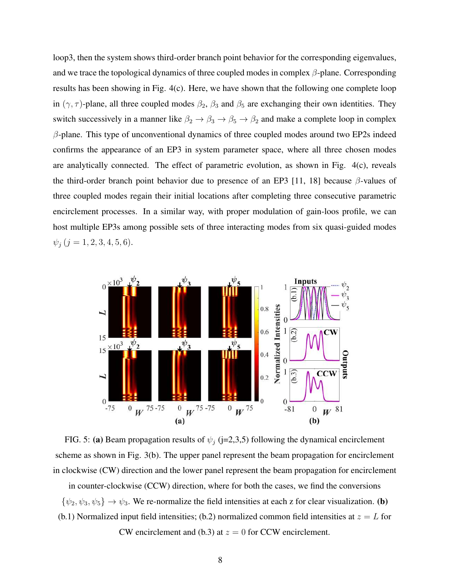loop3, then the system shows third-order branch point behavior for the corresponding eigenvalues, and we trace the topological dynamics of three coupled modes in complex  $\beta$ -plane. Corresponding results has been showing in Fig. 4(c). Here, we have shown that the following one complete loop in  $(\gamma, \tau)$ -plane, all three coupled modes  $\beta_2$ ,  $\beta_3$  and  $\beta_5$  are exchanging their own identities. They switch successively in a manner like  $\beta_2 \rightarrow \beta_3 \rightarrow \beta_5 \rightarrow \beta_2$  and make a complete loop in complex  $\beta$ -plane. This type of unconventional dynamics of three coupled modes around two EP2s indeed confirms the appearance of an EP3 in system parameter space, where all three chosen modes are analytically connected. The effect of parametric evolution, as shown in Fig. 4(c), reveals the third-order branch point behavior due to presence of an EP3 [11, 18] because  $\beta$ -values of three coupled modes regain their initial locations after completing three consecutive parametric encirclement processes. In a similar way, with proper modulation of gain-loos profile, we can host multiple EP3s among possible sets of three interacting modes from six quasi-guided modes  $\psi_j$   $(j = 1, 2, 3, 4, 5, 6).$ 



FIG. 5: (a) Beam propagation results of  $\psi_j$  (j=2,3,5) following the dynamical encirclement scheme as shown in Fig. 3(b). The upper panel represent the beam propagation for encirclement in clockwise (CW) direction and the lower panel represent the beam propagation for encirclement

in counter-clockwise (CCW) direction, where for both the cases, we find the conversions  $\{\psi_2, \psi_3, \psi_5\} \to \psi_3$ . We re-normalize the field intensities at each z for clear visualization. (b) (b.1) Normalized input field intensities; (b.2) normalized common field intensities at  $z = L$  for

CW encirclement and (b.3) at  $z = 0$  for CCW encirclement.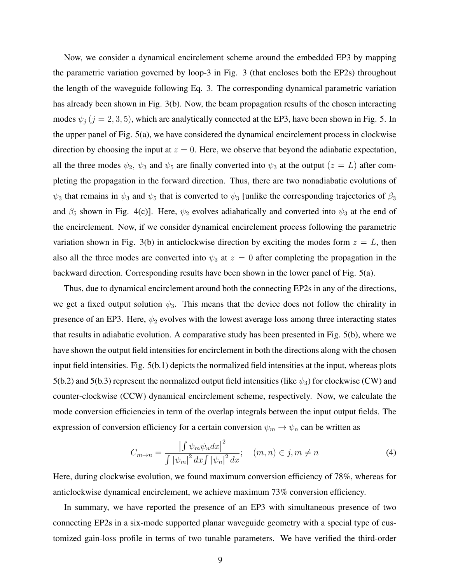Now, we consider a dynamical encirclement scheme around the embedded EP3 by mapping the parametric variation governed by loop-3 in Fig. 3 (that encloses both the EP2s) throughout the length of the waveguide following Eq. 3. The corresponding dynamical parametric variation has already been shown in Fig. 3(b). Now, the beam propagation results of the chosen interacting modes  $\psi_i$  ( $j = 2, 3, 5$ ), which are analytically connected at the EP3, have been shown in Fig. 5. In the upper panel of Fig. 5(a), we have considered the dynamical encirclement process in clockwise direction by choosing the input at  $z = 0$ . Here, we observe that beyond the adiabatic expectation, all the three modes  $\psi_2$ ,  $\psi_3$  and  $\psi_5$  are finally converted into  $\psi_3$  at the output  $(z = L)$  after completing the propagation in the forward direction. Thus, there are two nonadiabatic evolutions of  $\psi_3$  that remains in  $\psi_3$  and  $\psi_5$  that is converted to  $\psi_3$  [unlike the corresponding trajectories of  $\beta_3$ and  $\beta_5$  shown in Fig. 4(c)]. Here,  $\psi_2$  evolves adiabatically and converted into  $\psi_3$  at the end of the encirclement. Now, if we consider dynamical encirclement process following the parametric variation shown in Fig. 3(b) in anticlockwise direction by exciting the modes form  $z = L$ , then also all the three modes are converted into  $\psi_3$  at  $z = 0$  after completing the propagation in the backward direction. Corresponding results have been shown in the lower panel of Fig. 5(a).

Thus, due to dynamical encirclement around both the connecting EP2s in any of the directions, we get a fixed output solution  $\psi_3$ . This means that the device does not follow the chirality in presence of an EP3. Here,  $\psi_2$  evolves with the lowest average loss among three interacting states that results in adiabatic evolution. A comparative study has been presented in Fig. 5(b), where we have shown the output field intensities for encirclement in both the directions along with the chosen input field intensities. Fig. 5(b.1) depicts the normalized field intensities at the input, whereas plots 5(b.2) and 5(b.3) represent the normalized output field intensities (like  $\psi_3$ ) for clockwise (CW) and counter-clockwise (CCW) dynamical encirclement scheme, respectively. Now, we calculate the mode conversion efficiencies in term of the overlap integrals between the input output fields. The expression of conversion efficiency for a certain conversion  $\psi_m \to \psi_n$  can be written as

$$
C_{m \to n} = \frac{\left| \int \psi_m \psi_n dx \right|^2}{\int \left| \psi_m \right|^2 dx \int \left| \psi_n \right|^2 dx}; \quad (m, n) \in j, m \neq n \tag{4}
$$

Here, during clockwise evolution, we found maximum conversion efficiency of 78%, whereas for anticlockwise dynamical encirclement, we achieve maximum 73% conversion efficiency.

In summary, we have reported the presence of an EP3 with simultaneous presence of two connecting EP2s in a six-mode supported planar waveguide geometry with a special type of customized gain-loss profile in terms of two tunable parameters. We have verified the third-order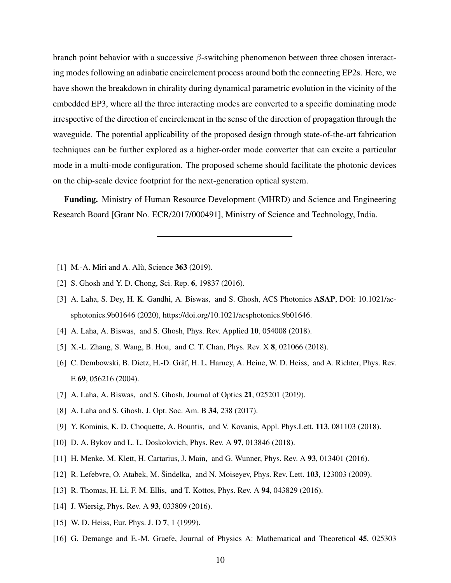branch point behavior with a successive  $\beta$ -switching phenomenon between three chosen interacting modes following an adiabatic encirclement process around both the connecting EP2s. Here, we have shown the breakdown in chirality during dynamical parametric evolution in the vicinity of the embedded EP3, where all the three interacting modes are converted to a specific dominating mode irrespective of the direction of encirclement in the sense of the direction of propagation through the waveguide. The potential applicability of the proposed design through state-of-the-art fabrication techniques can be further explored as a higher-order mode converter that can excite a particular mode in a multi-mode configuration. The proposed scheme should facilitate the photonic devices on the chip-scale device footprint for the next-generation optical system.

Funding. Ministry of Human Resource Development (MHRD) and Science and Engineering Research Board [Grant No. ECR/2017/000491], Ministry of Science and Technology, India.

- [1] M.-A. Miri and A. Alù, Science  $363$  (2019).
- [2] S. Ghosh and Y. D. Chong, Sci. Rep. 6, 19837 (2016).
- [3] A. Laha, S. Dey, H. K. Gandhi, A. Biswas, and S. Ghosh, ACS Photonics ASAP, DOI: 10.1021/acsphotonics.9b01646 (2020), https://doi.org/10.1021/acsphotonics.9b01646.
- [4] A. Laha, A. Biswas, and S. Ghosh, Phys. Rev. Applied **10**, 054008 (2018).
- [5] X.-L. Zhang, S. Wang, B. Hou, and C. T. Chan, Phys. Rev. X 8, 021066 (2018).
- [6] C. Dembowski, B. Dietz, H.-D. Gräf, H. L. Harney, A. Heine, W. D. Heiss, and A. Richter, Phys. Rev. E 69, 056216 (2004).
- [7] A. Laha, A. Biswas, and S. Ghosh, Journal of Optics **21**, 025201 (2019).
- [8] A. Laha and S. Ghosh, J. Opt. Soc. Am. B 34, 238 (2017).
- [9] Y. Kominis, K. D. Choquette, A. Bountis, and V. Kovanis, Appl. Phys.Lett. 113, 081103 (2018).
- [10] D. A. Bykov and L. L. Doskolovich, Phys. Rev. A 97, 013846 (2018).
- [11] H. Menke, M. Klett, H. Cartarius, J. Main, and G. Wunner, Phys. Rev. A 93, 013401 (2016).
- [12] R. Lefebvre, O. Atabek, M. Šindelka, and N. Moiseyev, Phys. Rev. Lett.  $103$ , 123003 (2009).
- [13] R. Thomas, H. Li, F. M. Ellis, and T. Kottos, *Phys. Rev. A* **94**, 043829 (2016).
- [14] J. Wiersig, Phys. Rev. A **93**, 033809 (2016).
- [15] W. D. Heiss, Eur. Phys. J. D 7, 1 (1999).
- [16] G. Demange and E.-M. Graefe, Journal of Physics A: Mathematical and Theoretical 45, 025303